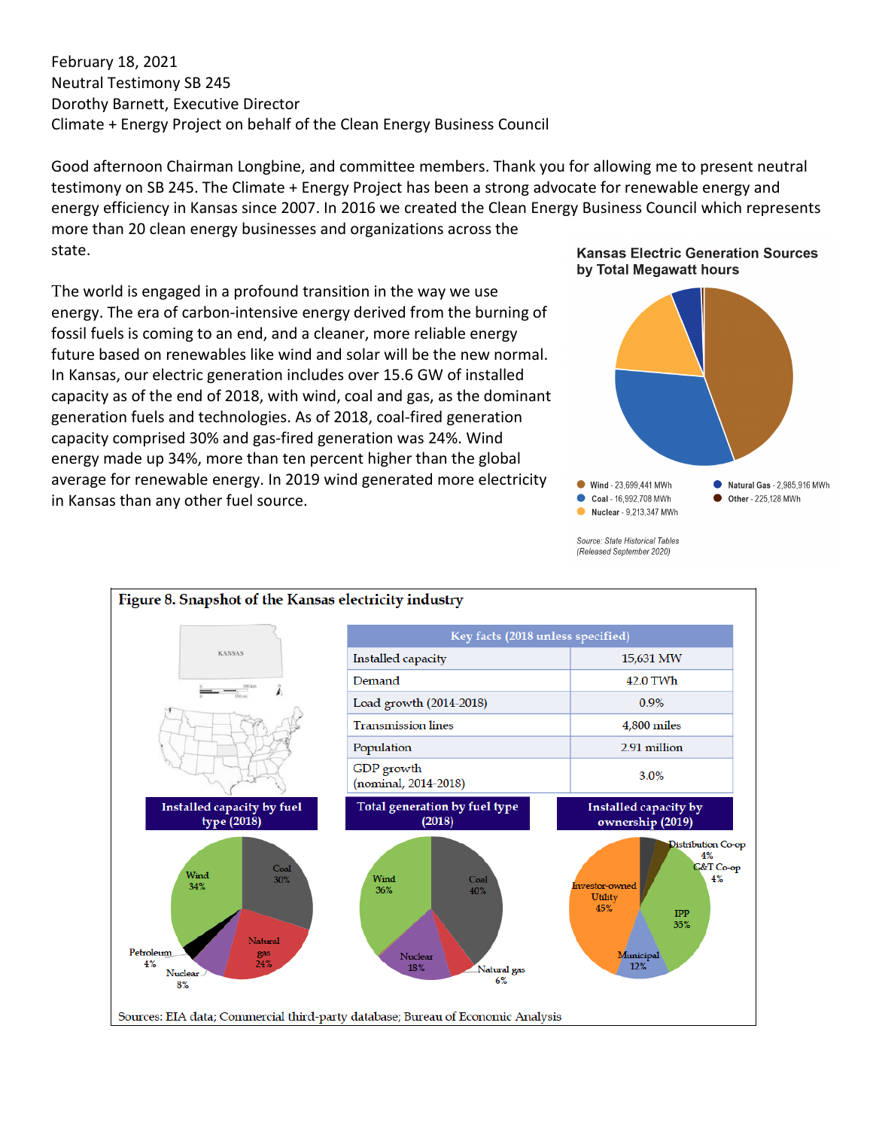February 18, 2021 Neutral Testimony SB 245 Dorothy Barnett, Executive Director Climate + Energy Project on behalf of the Clean Energy Business Council

Good afternoon Chairman Longbine, and committee members. Thank you for allowing me to present neutral testimony on SB 245. The Climate + Energy Project has been a strong advocate for renewable energy and energy efficiency in Kansas since 2007. In 2016 we created the Clean Energy Business Council which represents more than 20 clean energy businesses and organizations across the state.

The world is engaged in a profound transition in the way we use energy. The era of carbon-intensive energy derived from the burning of fossil fuels is coming to an end, and a cleaner, more reliable energy future based on renewables like wind and solar will be the new normal. In Kansas, our electric generation includes over 15.6 GW of installed capacity as of the end of 2018, with wind, coal and gas, as the dominant generation fuels and technologies. As of 2018, coal-fired generation capacity comprised 30% and gas-fired generation was 24%. Wind energy made up 34%, more than ten percent higher than the global average for renewable energy. In 2019 wind generated more electricity in Kansas than any other fuel source.

## **Kansas Electric Generation Sources** by Total Megawatt hours



Source: State Historical Tables (Released September 2020)

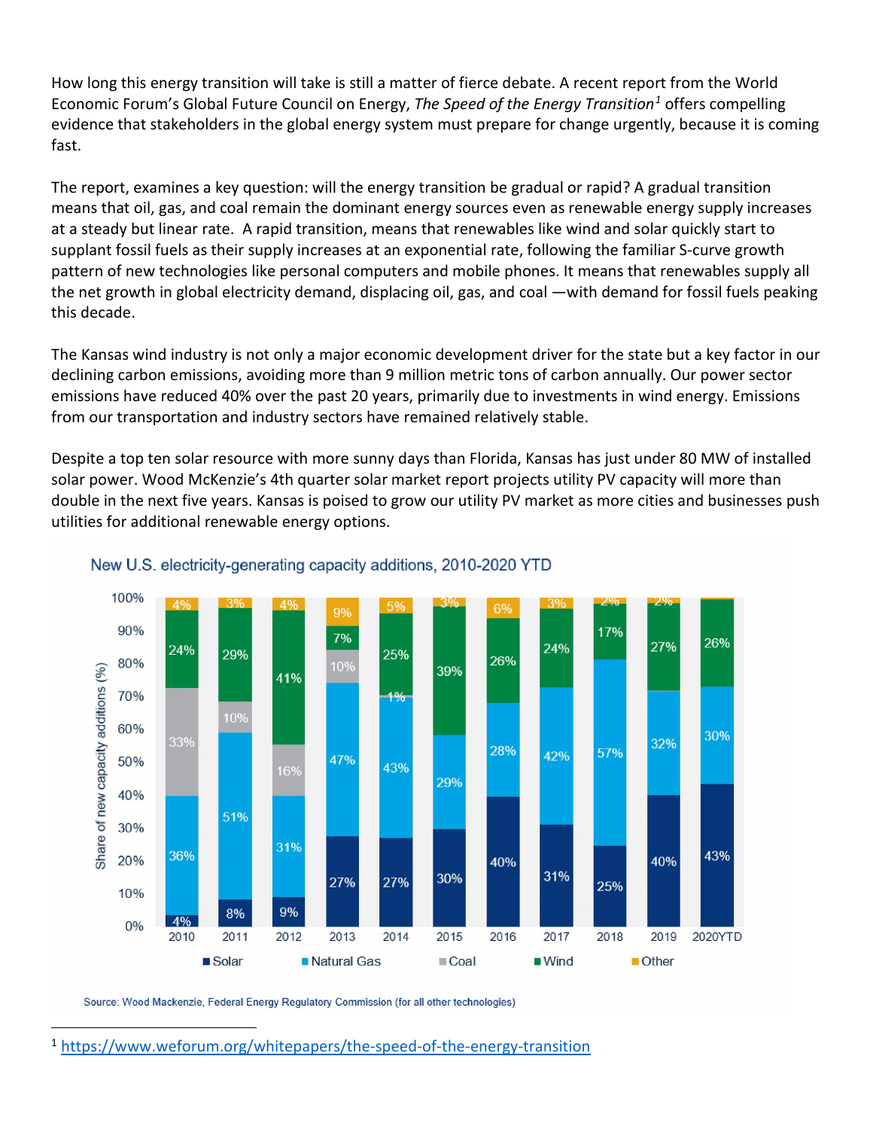How long this energy transition will take is still a matter of fierce debate. A recent report from the World Economic Forum's Global Future Council on Energy, *[The Speed of the Energy Transition](https://www.weforum.org/whitepapers/the-speed-of-the-energy-transition)[1](#page-1-0)* offers compelling evidence that stakeholders in the global energy system must prepare for change urgently, because it is coming fast.

The report, examines a key question: will the energy transition be gradual or rapid? A gradual transition means that oil, gas, and coal remain the dominant energy sources even as renewable energy supply increases at a steady but linear rate. A rapid transition, means that renewables like wind and solar quickly start to supplant fossil fuels as their supply increases at an exponential rate, following the familiar S-curve growth pattern of new technologies like personal computers and mobile phones. It means that renewables supply all the net growth in global electricity demand, displacing oil, gas, and coal —with demand for fossil fuels peaking this decade.

The Kansas wind industry is not only a major economic development driver for the state but a key factor in our declining carbon emissions, avoiding more than 9 million metric tons of carbon annually. Our power sector emissions have reduced 40% over the past 20 years, primarily due to investments in wind energy. Emissions from our transportation and industry sectors have remained relatively stable.

Despite a top ten solar resource with more sunny days than Florida, Kansas has just under 80 MW of installed solar power. Wood McKenzie's 4th quarter solar market report projects utility PV capacity will more than double in the next five years. Kansas is poised to grow our utility PV market as more cities and businesses push utilities for additional renewable energy options.





Source: Wood Mackenzie, Federal Energy Regulatory Commission (for all other technologies)

<span id="page-1-0"></span><sup>1</sup> <https://www.weforum.org/whitepapers/the-speed-of-the-energy-transition>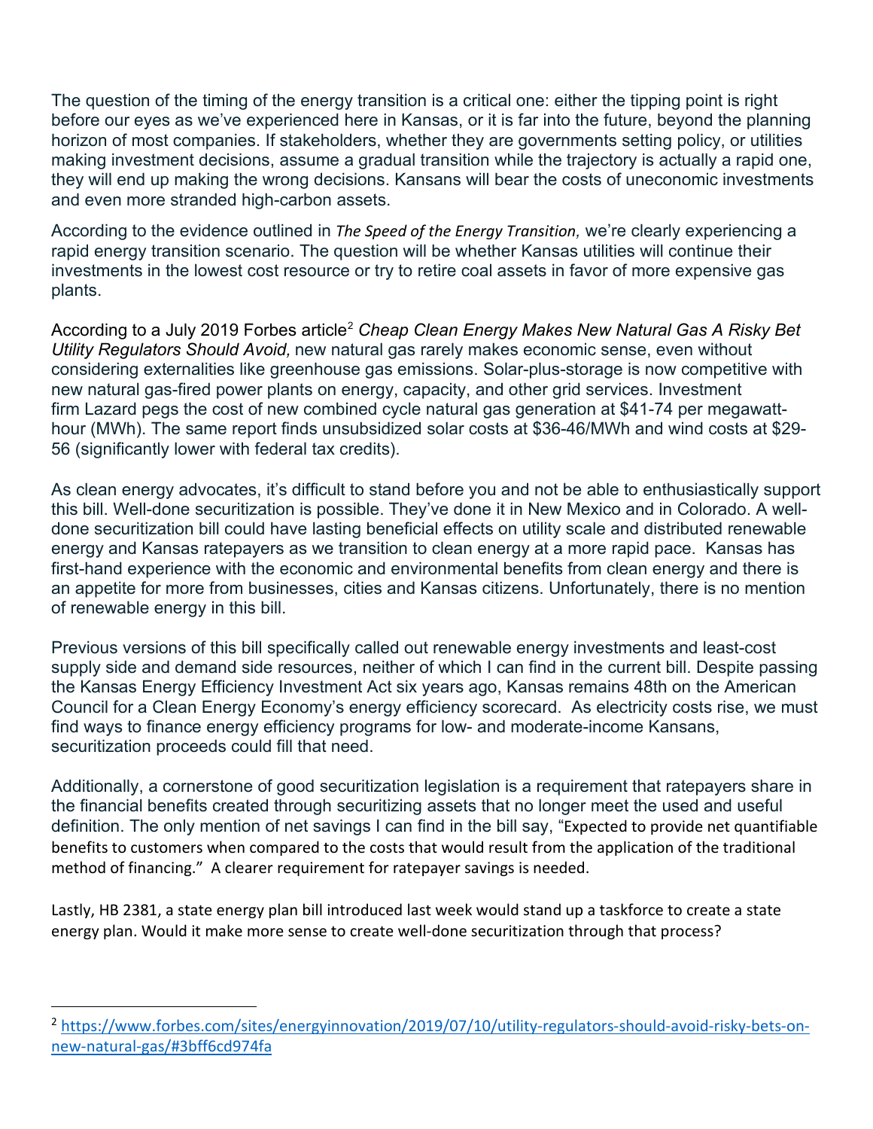The question of the timing of the energy transition is a critical one: either the tipping point is right before our eyes as we've experienced here in Kansas, or it is far into the future, beyond the planning horizon of most companies. If stakeholders, whether they are governments setting policy, or utilities making investment decisions, assume a gradual transition while the trajectory is actually a rapid one, they will end up making the wrong decisions. Kansans will bear the costs of uneconomic investments and even more stranded high-carbon assets.

According to the evidence outlined in *[The Speed of the Energy Transition](https://www.weforum.org/whitepapers/the-speed-of-the-energy-transition),* we're clearly experiencing a rapid energy transition scenario. The question will be whether Kansas utilities will continue their investments in the lowest cost resource or try to retire coal assets in favor of more expensive gas plants.

According to a July [2](#page-2-0)019 Forbes article<sup>2</sup> Cheap Clean Energy Makes New Natural Gas A Risky Bet *Utility Regulators Should Avoid,* new natural gas rarely makes economic sense, even without considering externalities like greenhouse gas emissions. Solar-plus-storage is now competitive with new natural gas-fired power plants on energy, capacity, and other grid services. Investment firm [Lazard pegs](https://www.lazard.com/media/450773/lazards-levelized-cost-of-energy-version-120-vfinal.pdf) the cost of new combined cycle natural gas generation at \$41-74 per megawatthour (MWh). The same report finds unsubsidized solar costs at \$36-46/MWh and wind costs at \$29- 56 (significantly lower with federal tax credits).

As clean energy advocates, it's difficult to stand before you and not be able to enthusiastically support this bill. Well-done securitization is possible. They've done it in New Mexico and in Colorado. A welldone securitization bill could have lasting beneficial effects on utility scale and distributed renewable energy and Kansas ratepayers as we transition to clean energy at a more rapid pace. Kansas has first-hand experience with the economic and environmental benefits from clean energy and there is an appetite for more from businesses, cities and Kansas citizens. Unfortunately, there is no mention of renewable energy in this bill.

Previous versions of this bill specifically called out renewable energy investments and least-cost supply side and demand side resources, neither of which I can find in the current bill. Despite passing the Kansas Energy Efficiency Investment Act six years ago, Kansas remains 48th on the American Council for a Clean Energy Economy's energy efficiency scorecard. As electricity costs rise, we must find ways to finance energy efficiency programs for low- and moderate-income Kansans, securitization proceeds could fill that need.

Additionally, a cornerstone of good securitization legislation is a requirement that ratepayers share in the financial benefits created through securitizing assets that no longer meet the used and useful definition. The only mention of net savings I can find in the bill say, "Expected to provide net quantifiable benefits to customers when compared to the costs that would result from the application of the traditional method of financing." A clearer requirement for ratepayer savings is needed.

Lastly, HB 2381, a state energy plan bill introduced last week would stand up a taskforce to create a state energy plan. Would it make more sense to create well-done securitization through that process?

<span id="page-2-0"></span><sup>&</sup>lt;sup>2</sup> [https://www.forbes.com/sites/energyinnovation/2019/07/10/utility-regulators-should-avoid-risky-bets-on](https://www.forbes.com/sites/energyinnovation/2019/07/10/utility-regulators-should-avoid-risky-bets-on-new-natural-gas/#3bff6cd974fa)[new-natural-gas/#3bff6cd974fa](https://www.forbes.com/sites/energyinnovation/2019/07/10/utility-regulators-should-avoid-risky-bets-on-new-natural-gas/#3bff6cd974fa)